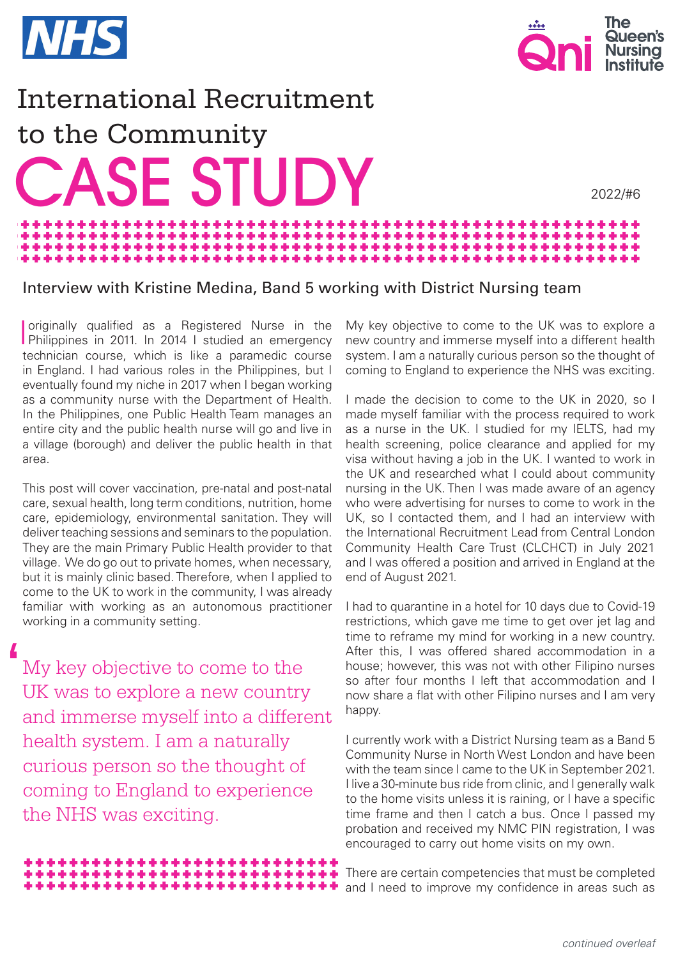



2022/#6

## International Recruitment to the Community **CASE STUDY** \*\*\*\*\*\*\*\*\*\*\*\*\*\*\*\*\*\*\*\*\*\*\*\* والمراجل والرابط الملازمات والرابطة والمراقب والمراقب \*\*\*\*\*\*\*\*\*\*\*\*\*\*\*\*\*\*\*\*\*\*\*

\*\*\*\*\*\*\*\*\*\*\*\*\*\*\*

## Interview with Kristine Medina, Band 5 working with District Nursing team

÷

I originally qualified as a Registered Nurse in the Philippines in 2011. In 2014 I studied an emergency technician course, which is like a paramedic course in England. I had various roles in the Philippines, but I eventually found my niche in 2017 when I began working as a community nurse with the Department of Health. In the Philippines, one Public Health Team manages an entire city and the public health nurse will go and live in a village (borough) and deliver the public health in that area.

This post will cover vaccination, pre-natal and post-natal care, sexual health, long term conditions, nutrition, home care, epidemiology, environmental sanitation. They will deliver teaching sessions and seminars to the population. They are the main Primary Public Health provider to that village. We do go out to private homes, when necessary, but it is mainly clinic based. Therefore, when I applied to come to the UK to work in the community, I was already familiar with working as an autonomous practitioner working in a community setting.

My key objective to come to the UK was to explore a new country and immerse myself into a different health system. I am a naturally curious person so the thought of coming to England to experience the NHS was exciting.  $\overline{\phantom{a}}$ 

> \*\*\*\*\*\*\*\*\*\*\*\*\*\*\*\*\*\*\*\* \*\*\*\*\*\*\*\*\*\*\*\*\*\*\*\*\*\*\*\*\*\*\*\*\*\* \*\*\*\*\*\*\*\*\*\*\*\*\*\*\*\*\*\*\*\*\*\*\*

My key objective to come to the UK was to explore a new country and immerse myself into a different health system. I am a naturally curious person so the thought of coming to England to experience the NHS was exciting.

I made the decision to come to the UK in 2020, so I made myself familiar with the process required to work as a nurse in the UK. I studied for my IELTS, had my health screening, police clearance and applied for my visa without having a job in the UK. I wanted to work in the UK and researched what I could about community nursing in the UK. Then I was made aware of an agency who were advertising for nurses to come to work in the UK, so I contacted them, and I had an interview with the International Recruitment Lead from Central London Community Health Care Trust (CLCHCT) in July 2021 and I was offered a position and arrived in England at the end of August 2021.

I had to quarantine in a hotel for 10 days due to Covid-19 restrictions, which gave me time to get over jet lag and time to reframe my mind for working in a new country. After this, I was offered shared accommodation in a house; however, this was not with other Filipino nurses so after four months I left that accommodation and I now share a flat with other Filipino nurses and I am very happy.

I currently work with a District Nursing team as a Band 5 Community Nurse in North West London and have been with the team since I came to the UK in September 2021. I live a 30-minute bus ride from clinic, and I generally walk to the home visits unless it is raining, or I have a specific time frame and then I catch a bus. Once I passed my probation and received my NMC PIN registration, I was encouraged to carry out home visits on my own.

There are certain competencies that must be completed and I need to improve my confidence in areas such as